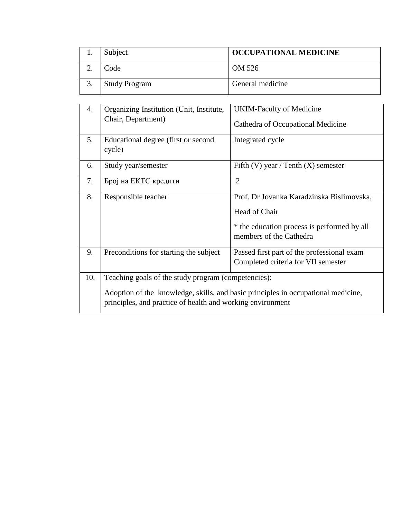| Subject              | <b>OCCUPATIONAL MEDICINE</b> |
|----------------------|------------------------------|
| Code                 | OM 526                       |
| <b>Study Program</b> | General medicine             |

| 4.                                                                                                                                              | Organizing Institution (Unit, Institute,<br>Chair, Department) | <b>UKIM-Faculty of Medicine</b><br>Cathedra of Occupational Medicine                                                                 |  |  |
|-------------------------------------------------------------------------------------------------------------------------------------------------|----------------------------------------------------------------|--------------------------------------------------------------------------------------------------------------------------------------|--|--|
| 5.                                                                                                                                              | Educational degree (first or second<br>cycle)                  | Integrated cycle                                                                                                                     |  |  |
| 6.                                                                                                                                              | Study year/semester                                            | Fifth (V) year / Tenth (X) semester                                                                                                  |  |  |
| 7.                                                                                                                                              | Број на ЕКТС кредити                                           | $\overline{2}$                                                                                                                       |  |  |
| 8.                                                                                                                                              | Responsible teacher                                            | Prof. Dr Jovanka Karadzinska Bislimovska,<br>Head of Chair<br>* the education process is performed by all<br>members of the Cathedra |  |  |
| 9.                                                                                                                                              | Preconditions for starting the subject                         | Passed first part of the professional exam<br>Completed criteria for VII semester                                                    |  |  |
| 10.                                                                                                                                             | Teaching goals of the study program (competencies):            |                                                                                                                                      |  |  |
| Adoption of the knowledge, skills, and basic principles in occupational medicine,<br>principles, and practice of health and working environment |                                                                |                                                                                                                                      |  |  |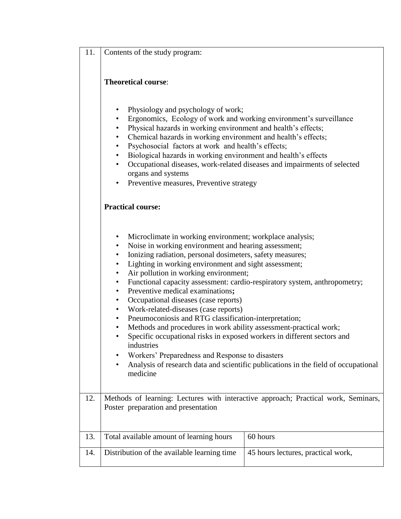| 11.<br>$\Box$ Contents of the study program: |
|----------------------------------------------|
|----------------------------------------------|

## **Theoretical course**:

- Physiology and psychology of work;
- Ergonomics, Ecology of work and working environment's surveillance
- Physical hazards in working environment and health's effects;
- Chemical hazards in working environment and health's effects;
- Psychosocial factors at work and health's effects;
- Biological hazards in working environment and health's effects
- Occupational diseases, work-related diseases and impairments of selected organs and systems
- Preventive measures, Preventive strategy

## **Practical course:**

- Microclimate in working environment; workplace analysis;
- Noise in working environment and hearing assessment;
- Ionizing radiation, personal dosimeters, safety measures;
- Lighting in working environment and sight assessment;
- Air pollution in working environment;
- Functional capacity assessment: cardio-respiratory system, anthropometry;
- Preventive medical examinations**;**
- Occupational diseases (case reports)
- Work-related-diseases (case reports)
- Pneumoconiosis and RTG classification-interpretation;
- Methods and procedures in work ability assessment-practical work;
- Specific occupational risks in exposed workers in different sectors and industries
- Workers' Preparedness and Response to disasters
- Analysis of research data and scientific publications in the field of occupational medicine

12. Methods of learning: Lectures with interactive approach; Practical work, Seminars, Poster preparation and presentation

| Total available amount of learning hours    | 60 hours                           |
|---------------------------------------------|------------------------------------|
| Distribution of the available learning time | 45 hours lectures, practical work, |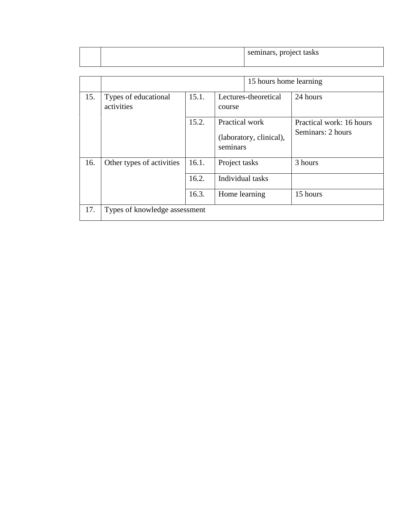|  | seminars, project tasks |
|--|-------------------------|
|  |                         |

|     | 15 hours home learning             |                                         |                                                       |                                               |  |  |  |  |
|-----|------------------------------------|-----------------------------------------|-------------------------------------------------------|-----------------------------------------------|--|--|--|--|
| 15. | Types of educational<br>activities | 15.1.<br>Lectures-theoretical<br>course |                                                       | 24 hours                                      |  |  |  |  |
|     |                                    | 15.2.                                   | Practical work<br>(laboratory, clinical),<br>seminars | Practical work: 16 hours<br>Seminars: 2 hours |  |  |  |  |
| 16. | Other types of activities          | 16.1.                                   | Project tasks                                         | 3 hours                                       |  |  |  |  |
|     |                                    | 16.2.                                   | Individual tasks                                      |                                               |  |  |  |  |
|     |                                    | 16.3.                                   | Home learning                                         | 15 hours                                      |  |  |  |  |
| 17. | Types of knowledge assessment      |                                         |                                                       |                                               |  |  |  |  |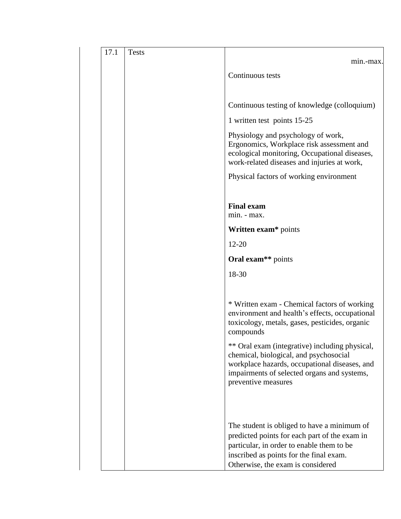| 17.1<br><b>Tests</b> | min.-max.                                                                                                                                                                                                                 |
|----------------------|---------------------------------------------------------------------------------------------------------------------------------------------------------------------------------------------------------------------------|
|                      | Continuous tests                                                                                                                                                                                                          |
|                      | Continuous testing of knowledge (colloquium)                                                                                                                                                                              |
|                      | 1 written test points 15-25                                                                                                                                                                                               |
|                      | Physiology and psychology of work,<br>Ergonomics, Workplace risk assessment and<br>ecological monitoring, Occupational diseases,<br>work-related diseases and injuries at work,                                           |
|                      | Physical factors of working environment                                                                                                                                                                                   |
|                      | <b>Final exam</b><br>min. - max.                                                                                                                                                                                          |
|                      | Written exam* points                                                                                                                                                                                                      |
|                      | $12 - 20$                                                                                                                                                                                                                 |
|                      | Oral exam <sup>**</sup> points                                                                                                                                                                                            |
|                      | 18-30                                                                                                                                                                                                                     |
|                      | * Written exam - Chemical factors of working<br>environment and health's effects, occupational<br>toxicology, metals, gases, pesticides, organic<br>compounds<br>** Oral exam (integrative) including physical,           |
|                      | chemical, biological, and psychosocial<br>workplace hazards, occupational diseases, and<br>impairments of selected organs and systems,<br>preventive measures                                                             |
|                      | The student is obliged to have a minimum of<br>predicted points for each part of the exam in<br>particular, in order to enable them to be<br>inscribed as points for the final exam.<br>Otherwise, the exam is considered |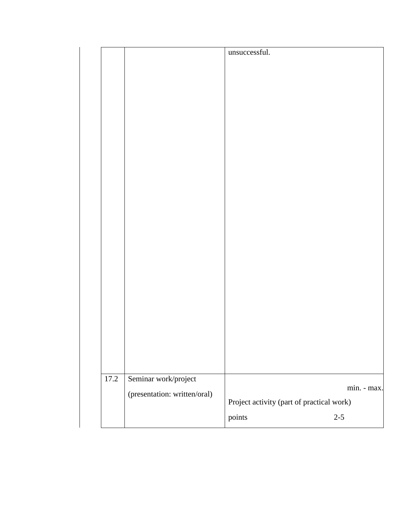|      |                              | unsuccessful.                                       |             |
|------|------------------------------|-----------------------------------------------------|-------------|
|      |                              |                                                     |             |
|      |                              |                                                     |             |
|      |                              |                                                     |             |
|      |                              |                                                     |             |
|      |                              |                                                     |             |
|      |                              |                                                     |             |
|      |                              |                                                     |             |
|      |                              |                                                     |             |
|      |                              |                                                     |             |
|      |                              |                                                     |             |
|      |                              |                                                     |             |
|      |                              |                                                     |             |
|      |                              |                                                     |             |
|      |                              |                                                     |             |
|      |                              |                                                     |             |
|      |                              |                                                     |             |
|      |                              |                                                     |             |
|      |                              |                                                     |             |
| 17.2 | Seminar work/project         |                                                     |             |
|      | (presentation: written/oral) |                                                     | min. - max. |
|      |                              | Project activity (part of practical work)<br>points | $2 - 5$     |
|      |                              |                                                     |             |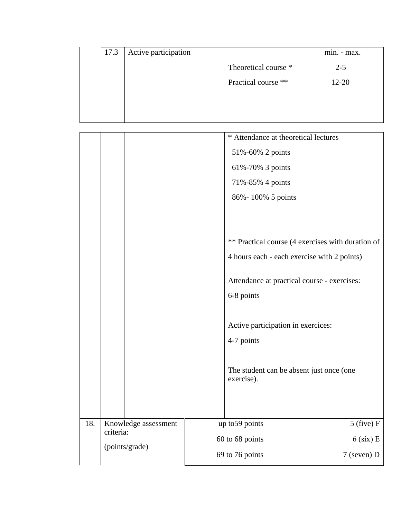|                      | $min. - max.$ |
|----------------------|---------------|
| Theoretical course * | $2 - 5$       |
| Practical course **  | $12 - 20$     |
|                      |               |
|                      |               |
| Active participation |               |

|     |                                   |                 |                   | * Attendance at theoretical lectures              |
|-----|-----------------------------------|-----------------|-------------------|---------------------------------------------------|
|     |                                   |                 | 51%-60% 2 points  |                                                   |
|     |                                   |                 | 61%-70% 3 points  |                                                   |
|     |                                   |                 | 71%-85% 4 points  |                                                   |
|     |                                   |                 | 86%-100% 5 points |                                                   |
|     |                                   |                 |                   |                                                   |
|     |                                   |                 |                   |                                                   |
|     |                                   |                 |                   | ** Practical course (4 exercises with duration of |
|     |                                   |                 |                   | 4 hours each - each exercise with 2 points)       |
|     |                                   |                 |                   |                                                   |
|     |                                   |                 |                   | Attendance at practical course - exercises:       |
|     |                                   |                 | 6-8 points        |                                                   |
|     |                                   |                 |                   |                                                   |
|     |                                   |                 |                   | Active participation in exercices:                |
|     |                                   |                 | 4-7 points        |                                                   |
|     |                                   |                 |                   |                                                   |
|     |                                   |                 |                   | The student can be absent just once (one          |
|     |                                   |                 | exercise).        |                                                   |
|     |                                   |                 |                   |                                                   |
|     |                                   |                 |                   |                                                   |
| 18. | Knowledge assessment<br>criteria: | up to 59 points |                   | $5$ (five) F                                      |
|     | (points/grade)                    |                 | 60 to 68 points   | $6$ (six) E                                       |
|     |                                   | 69 to 76 points |                   | 7 (seven) D                                       |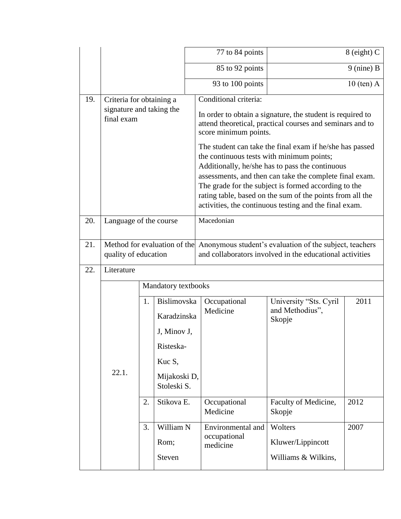|     |                                                                    |  |                                                                                       |  | 77 to 84 points                                                                                                                                                                                                                                                                                                                                                                                                                                                                                                       |                                                     | 8 (eight) C  |  |  |
|-----|--------------------------------------------------------------------|--|---------------------------------------------------------------------------------------|--|-----------------------------------------------------------------------------------------------------------------------------------------------------------------------------------------------------------------------------------------------------------------------------------------------------------------------------------------------------------------------------------------------------------------------------------------------------------------------------------------------------------------------|-----------------------------------------------------|--------------|--|--|
|     |                                                                    |  |                                                                                       |  | 85 to 92 points                                                                                                                                                                                                                                                                                                                                                                                                                                                                                                       |                                                     | $9$ (nine) B |  |  |
|     |                                                                    |  |                                                                                       |  | 93 to 100 points                                                                                                                                                                                                                                                                                                                                                                                                                                                                                                      |                                                     | $10$ (ten) A |  |  |
| 19. | Criteria for obtaining a<br>signature and taking the<br>final exam |  |                                                                                       |  | Conditional criteria:<br>In order to obtain a signature, the student is required to<br>attend theoretical, practical courses and seminars and to<br>score minimum points.<br>The student can take the final exam if he/she has passed<br>the continuous tests with minimum points;<br>Additionally, he/she has to pass the continuous<br>assessments, and then can take the complete final exam.<br>The grade for the subject is formed according to the<br>rating table, based on the sum of the points from all the |                                                     |              |  |  |
| 20. |                                                                    |  |                                                                                       |  | activities, the continuous testing and the final exam.<br>Macedonian                                                                                                                                                                                                                                                                                                                                                                                                                                                  |                                                     |              |  |  |
|     | Language of the course                                             |  |                                                                                       |  |                                                                                                                                                                                                                                                                                                                                                                                                                                                                                                                       |                                                     |              |  |  |
| 21. | Method for evaluation of the<br>quality of education               |  |                                                                                       |  | Anonymous student's evaluation of the subject, teachers<br>and collaborators involved in the educational activities                                                                                                                                                                                                                                                                                                                                                                                                   |                                                     |              |  |  |
| 22. | Literature                                                         |  |                                                                                       |  |                                                                                                                                                                                                                                                                                                                                                                                                                                                                                                                       |                                                     |              |  |  |
|     | Mandatory textbooks                                                |  |                                                                                       |  |                                                                                                                                                                                                                                                                                                                                                                                                                                                                                                                       |                                                     |              |  |  |
|     | 1.<br>Kuc S,<br>22.1.<br>2.<br>3.<br>Rom;<br>Steven                |  | Bislimovska<br>Karadzinska<br>J, Minov J,<br>Risteska-<br>Mijakoski D,<br>Stoleski S. |  | Occupational<br>Medicine                                                                                                                                                                                                                                                                                                                                                                                                                                                                                              | University "Sts. Cyril<br>and Methodius",<br>Skopje | 2011         |  |  |
|     |                                                                    |  | Stikova E.                                                                            |  | Occupational<br>Medicine                                                                                                                                                                                                                                                                                                                                                                                                                                                                                              | Faculty of Medicine,<br>Skopje                      | 2012         |  |  |
|     |                                                                    |  | William N                                                                             |  | Environmental and<br>occupational<br>medicine                                                                                                                                                                                                                                                                                                                                                                                                                                                                         | Wolters<br>Kluwer/Lippincott<br>Williams & Wilkins, | 2007         |  |  |